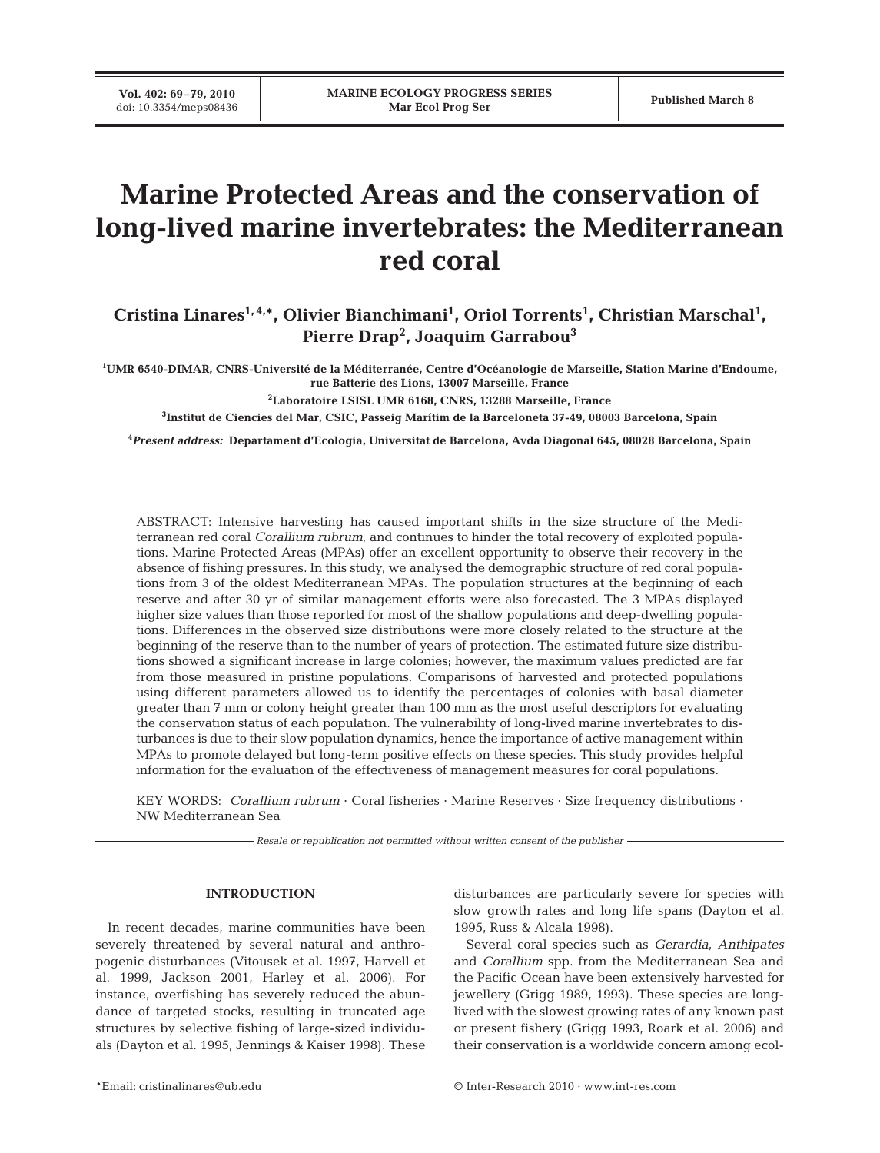# **Marine Protected Areas and the conservation of long-lived marine invertebrates: the Mediterranean red coral**

Cristina Linares<sup>1,4,\*</sup>, Olivier Bianchimani<sup>1</sup>, Oriol Torrents<sup>1</sup>, Christian Marschal<sup>1</sup>, **Pierre Drap2 , Joaquim Garrabou3**

**1 UMR 6540-DIMAR, CNRS-Université de la Méditerranée, Centre d'Océanologie de Marseille, Station Marine d'Endoume, rue Batterie des Lions, 13007 Marseille, France**

**2 Laboratoire LSISL UMR 6168, CNRS, 13288 Marseille, France**

**3 Institut de Ciencies del Mar, CSIC, Passeig Marítim de la Barceloneta 37-49, 08003 Barcelona, Spain**

**4** *Present address:* **Departament d'Ecologia, Universitat de Barcelona, Avda Diagonal 645, 08028 Barcelona, Spain**

ABSTRACT: Intensive harvesting has caused important shifts in the size structure of the Mediterranean red coral *Corallium rubrum*, and continues to hinder the total recovery of exploited populations. Marine Protected Areas (MPAs) offer an excellent opportunity to observe their recovery in the absence of fishing pressures. In this study, we analysed the demographic structure of red coral populations from 3 of the oldest Mediterranean MPAs. The population structures at the beginning of each reserve and after 30 yr of similar management efforts were also forecasted. The 3 MPAs displayed higher size values than those reported for most of the shallow populations and deep-dwelling populations. Differences in the observed size distributions were more closely related to the structure at the beginning of the reserve than to the number of years of protection. The estimated future size distributions showed a significant increase in large colonies; however, the maximum values predicted are far from those measured in pristine populations. Comparisons of harvested and protected populations using different parameters allowed us to identify the percentages of colonies with basal diameter greater than 7 mm or colony height greater than 100 mm as the most useful descriptors for evaluating the conservation status of each population. The vulnerability of long-lived marine invertebrates to disturbances is due to their slow population dynamics, hence the importance of active management within MPAs to promote delayed but long-term positive effects on these species. This study provides helpful information for the evaluation of the effectiveness of management measures for coral populations.

KEY WORDS: *Corallium rubrum* · Coral fisheries · Marine Reserves · Size frequency distributions · NW Mediterranean Sea

*Resale or republication not permitted without written consent of the publisher*

## **INTRODUCTION**

In recent decades, marine communities have been severely threatened by several natural and anthropogenic disturbances (Vitousek et al. 1997, Harvell et al. 1999, Jackson 2001, Harley et al. 2006). For instance, overfishing has severely reduced the abundance of targeted stocks, resulting in truncated age structures by selective fishing of large-sized individuals (Dayton et al. 1995, Jennings & Kaiser 1998). These

disturbances are particularly severe for species with slow growth rates and long life spans (Dayton et al. 1995, Russ & Alcala 1998).

Several coral species such as *Gerardia*, *Anthipates* and *Corallium* spp. from the Mediterranean Sea and the Pacific Ocean have been extensively harvested for jewellery (Grigg 1989, 1993). These species are longlived with the slowest growing rates of any known past or present fishery (Grigg 1993, Roark et al. 2006) and their conservation is a worldwide concern among ecol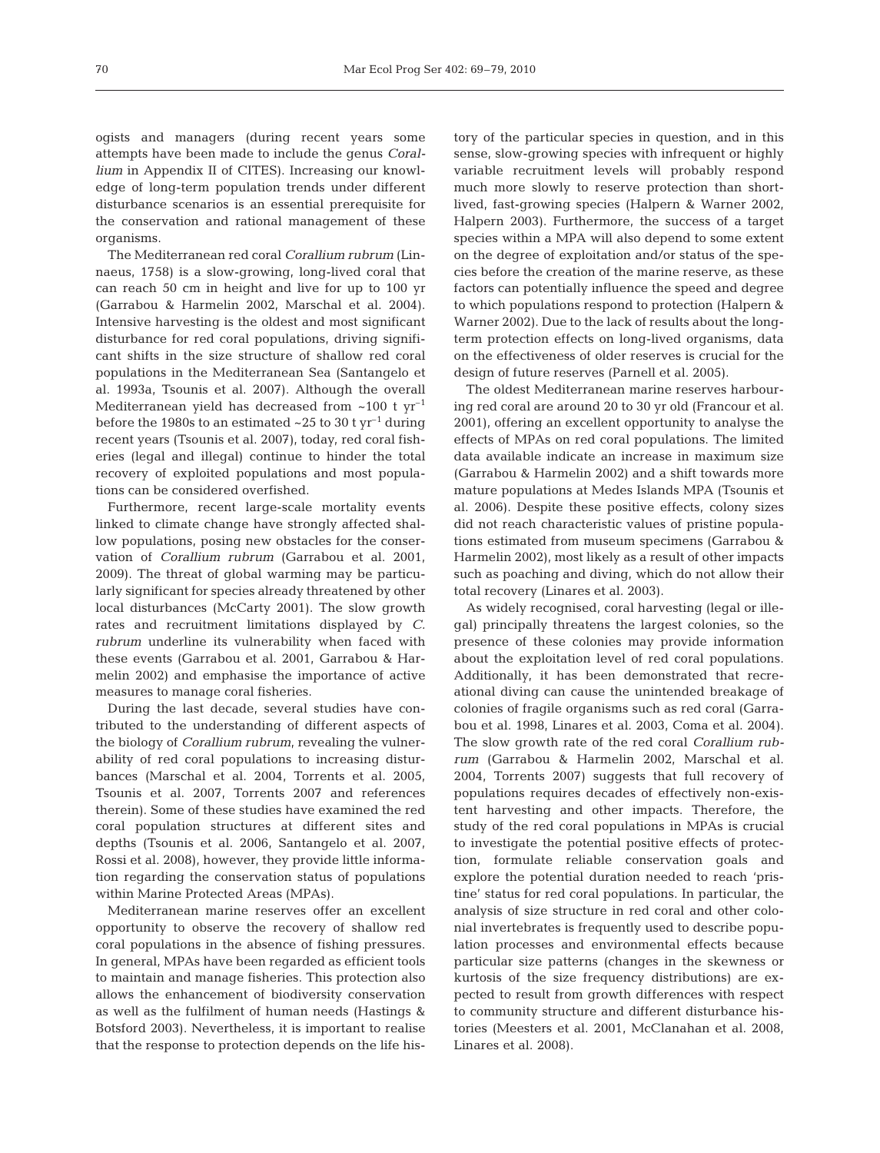ogists and managers (during recent years some attempts have been made to include the genus *Corallium* in Appendix II of CITES). Increasing our knowledge of long-term population trends under different disturbance scenarios is an essential prerequisite for the conservation and rational management of these organisms.

The Mediterranean red coral *Corallium rubrum* (Linnaeus, 1758) is a slow-growing, long-lived coral that can reach 50 cm in height and live for up to 100 yr (Garrabou & Harmelin 2002, Marschal et al. 2004). Intensive harvesting is the oldest and most significant disturbance for red coral populations, driving significant shifts in the size structure of shallow red coral populations in the Mediterranean Sea (Santangelo et al. 1993a, Tsounis et al. 2007). Although the overall Mediterranean yield has decreased from  $\sim 100$  t yr<sup>-1</sup> before the 1980s to an estimated  $\sim$  25 to 30 t yr<sup>-1</sup> during recent years (Tsounis et al. 2007), today, red coral fisheries (legal and illegal) continue to hinder the total recovery of exploited populations and most populations can be considered overfished.

Furthermore, recent large-scale mortality events linked to climate change have strongly affected shallow populations, posing new obstacles for the conservation of *Corallium rubrum* (Garrabou et al. 2001, 2009). The threat of global warming may be particularly significant for species already threatened by other local disturbances (McCarty 2001). The slow growth rates and recruitment limitations displayed by *C. rubrum* underline its vulnerability when faced with these events (Garrabou et al. 2001, Garrabou & Harmelin 2002) and emphasise the importance of active measures to manage coral fisheries.

During the last decade, several studies have contributed to the understanding of different aspects of the biology of *Corallium rubrum*, revealing the vulnerability of red coral populations to increasing disturbances (Marschal et al. 2004, Torrents et al. 2005, Tsounis et al. 2007, Torrents 2007 and references therein). Some of these studies have examined the red coral population structures at different sites and depths (Tsounis et al. 2006, Santangelo et al. 2007, Rossi et al. 2008), however, they provide little information regarding the conservation status of populations within Marine Protected Areas (MPAs).

Mediterranean marine reserves offer an excellent opportunity to observe the recovery of shallow red coral populations in the absence of fishing pressures. In general, MPAs have been regarded as efficient tools to maintain and manage fisheries. This protection also allows the enhancement of biodiversity conservation as well as the fulfilment of human needs (Hastings & Botsford 2003). Nevertheless, it is important to realise that the response to protection depends on the life history of the particular species in question, and in this sense, slow-growing species with infrequent or highly variable recruitment levels will probably respond much more slowly to reserve protection than shortlived, fast-growing species (Halpern & Warner 2002, Halpern 2003). Furthermore, the success of a target species within a MPA will also depend to some extent on the degree of exploitation and/or status of the species before the creation of the marine reserve, as these factors can potentially influence the speed and degree to which populations respond to protection (Halpern & Warner 2002). Due to the lack of results about the longterm protection effects on long-lived organisms, data on the effectiveness of older reserves is crucial for the design of future reserves (Parnell et al. 2005).

The oldest Mediterranean marine reserves harbouring red coral are around 20 to 30 yr old (Francour et al. 2001), offering an excellent opportunity to analyse the effects of MPAs on red coral populations. The limited data available indicate an increase in maximum size (Garrabou & Harmelin 2002) and a shift towards more mature populations at Medes Islands MPA (Tsounis et al. 2006). Despite these positive effects, colony sizes did not reach characteristic values of pristine populations estimated from museum specimens (Garrabou & Harmelin 2002), most likely as a result of other impacts such as poaching and diving, which do not allow their total recovery (Linares et al. 2003).

As widely recognised, coral harvesting (legal or illegal) principally threatens the largest colonies, so the presence of these colonies may provide information about the exploitation level of red coral populations. Additionally, it has been demonstrated that recreational diving can cause the unintended breakage of colonies of fragile organisms such as red coral (Garrabou et al. 1998, Linares et al. 2003, Coma et al. 2004). The slow growth rate of the red coral *Corallium rubrum* (Garrabou & Harmelin 2002, Marschal et al. 2004, Torrents 2007) suggests that full recovery of populations requires decades of effectively non-existent harvesting and other impacts. Therefore, the study of the red coral populations in MPAs is crucial to investigate the potential positive effects of protection, formulate reliable conservation goals and explore the potential duration needed to reach 'pristine' status for red coral populations. In particular, the analysis of size structure in red coral and other colonial invertebrates is frequently used to describe population processes and environmental effects because particular size patterns (changes in the skewness or kurtosis of the size frequency distributions) are expected to result from growth differences with respect to community structure and different disturbance histories (Meesters et al. 2001, McClanahan et al. 2008, Linares et al. 2008).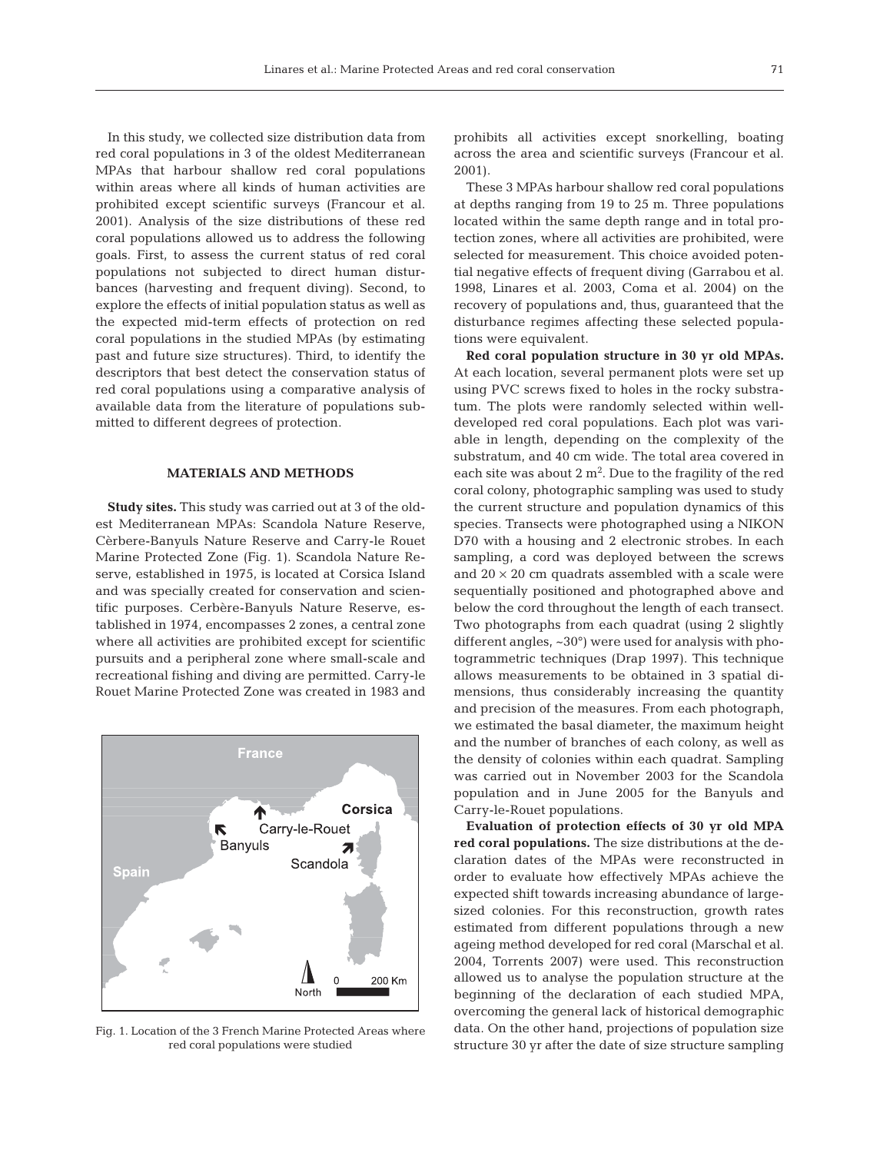In this study, we collected size distribution data from red coral populations in 3 of the oldest Mediterranean MPAs that harbour shallow red coral populations within areas where all kinds of human activities are prohibited except scientific surveys (Francour et al. 2001). Analysis of the size distributions of these red coral populations allowed us to address the following goals. First, to assess the current status of red coral populations not subjected to direct human disturbances (harvesting and frequent diving). Second, to explore the effects of initial population status as well as the expected mid-term effects of protection on red coral populations in the studied MPAs (by estimating past and future size structures). Third, to identify the descriptors that best detect the conservation status of red coral populations using a comparative analysis of available data from the literature of populations submitted to different degrees of protection.

## **MATERIALS AND METHODS**

**Study sites.** This study was carried out at 3 of the oldest Mediterranean MPAs: Scandola Nature Reserve, Cèrbere-Banyuls Nature Reserve and Carry-le Rouet Marine Protected Zone (Fig. 1). Scandola Nature Reserve, established in 1975, is located at Corsica Island and was specially created for conservation and scientific purposes. Cerbère-Banyuls Nature Reserve, established in 1974, encompasses 2 zones, a central zone where all activities are prohibited except for scientific pursuits and a peripheral zone where small-scale and recreational fishing and diving are permitted. Carry-le Rouet Marine Protected Zone was created in 1983 and



Fig. 1. Location of the 3 French Marine Protected Areas where red coral populations were studied

prohibits all activities except snorkelling, boating across the area and scientific surveys (Francour et al. 2001).

These 3 MPAs harbour shallow red coral populations at depths ranging from 19 to 25 m. Three populations located within the same depth range and in total protection zones, where all activities are prohibited, were selected for measurement. This choice avoided potential negative effects of frequent diving (Garrabou et al. 1998, Linares et al. 2003, Coma et al. 2004) on the recovery of populations and, thus, guaranteed that the disturbance regimes affecting these selected populations were equivalent.

**Red coral population structure in 30 yr old MPAs.** At each location, several permanent plots were set up using PVC screws fixed to holes in the rocky substratum. The plots were randomly selected within welldeveloped red coral populations. Each plot was variable in length, depending on the complexity of the substratum, and 40 cm wide. The total area covered in each site was about  $2 \text{ m}^2$ . Due to the fragility of the red coral colony, photographic sampling was used to study the current structure and population dynamics of this species. Transects were photographed using a NIKON D70 with a housing and 2 electronic strobes. In each sampling, a cord was deployed between the screws and  $20 \times 20$  cm quadrats assembled with a scale were sequentially positioned and photographed above and below the cord throughout the length of each transect. Two photographs from each quadrat (using 2 slightly different angles, ~30°) were used for analysis with photogrammetric techniques (Drap 1997). This technique allows measurements to be obtained in 3 spatial dimensions, thus considerably increasing the quantity and precision of the measures. From each photograph, we estimated the basal diameter, the maximum height and the number of branches of each colony, as well as the density of colonies within each quadrat. Sampling was carried out in November 2003 for the Scandola population and in June 2005 for the Banyuls and Carry-le-Rouet populations.

**Evaluation of protection effects of 30 yr old MPA red coral populations.** The size distributions at the declaration dates of the MPAs were reconstructed in order to evaluate how effectively MPAs achieve the expected shift towards increasing abundance of largesized colonies. For this reconstruction, growth rates estimated from different populations through a new ageing method developed for red coral (Marschal et al. 2004, Torrents 2007) were used. This reconstruction allowed us to analyse the population structure at the beginning of the declaration of each studied MPA, overcoming the general lack of historical demographic data. On the other hand, projections of population size structure 30 yr after the date of size structure sampling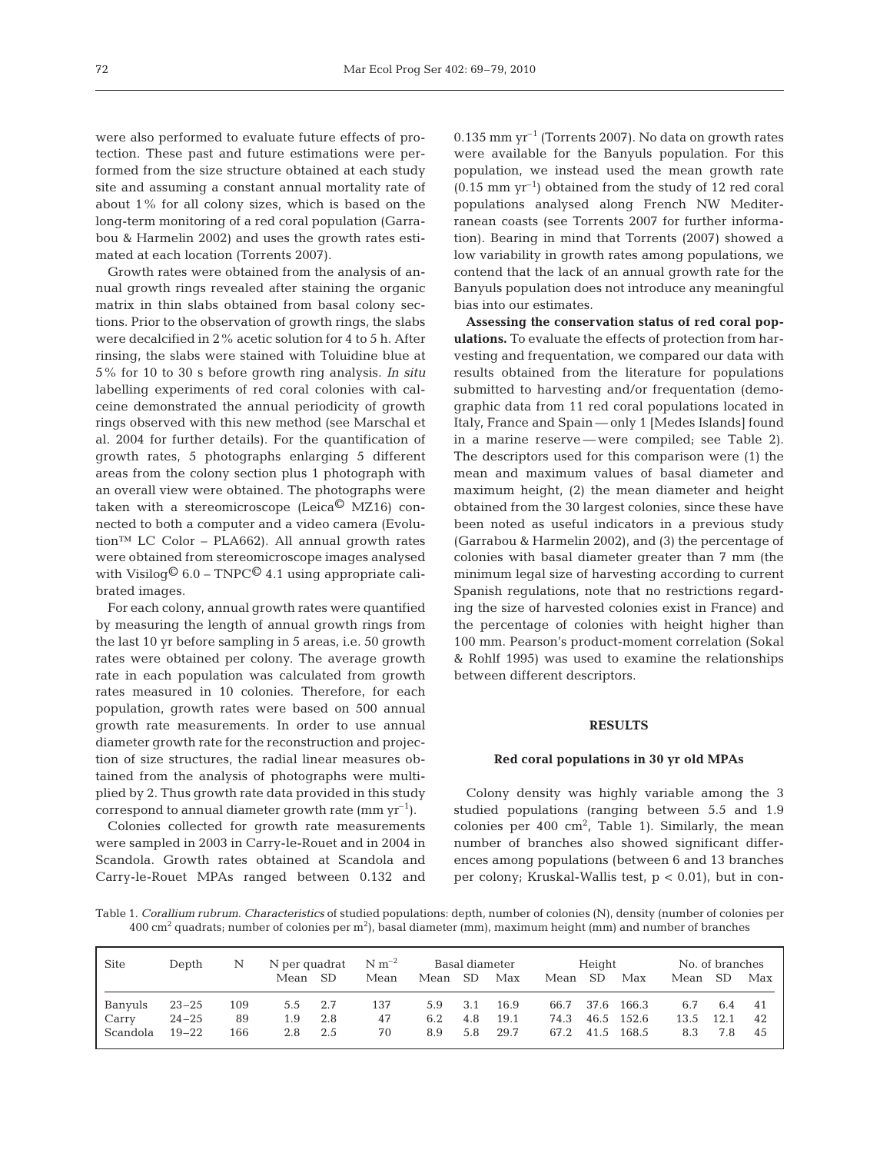were also performed to evaluate future effects of protection. These past and future estimations were performed from the size structure obtained at each study site and assuming a constant annual mortality rate of about 1% for all colony sizes, which is based on the long-term monitoring of a red coral population (Garrabou & Harmelin 2002) and uses the growth rates estimated at each location (Torrents 2007).

Growth rates were obtained from the analysis of annual growth rings revealed after staining the organic matrix in thin slabs obtained from basal colony sections. Prior to the observation of growth rings, the slabs were decalcified in 2% acetic solution for 4 to 5 h. After rinsing, the slabs were stained with Toluidine blue at 5% for 10 to 30 s before growth ring analysis. *In situ* labelling experiments of red coral colonies with calceine demonstrated the annual periodicity of growth rings observed with this new method (see Marschal et al. 2004 for further details). For the quantification of growth rates, 5 photographs enlarging 5 different areas from the colony section plus 1 photograph with an overall view were obtained. The photographs were taken with a stereomicroscope (Leica $\textcircled{C}$  MZ16) connected to both a computer and a video camera (Evolution™ LC Color – PLA662). All annual growth rates were obtained from stereomicroscope images analysed with Visilog<sup>©</sup> 6.0 – TNPC<sup>©</sup> 4.1 using appropriate calibrated images.

For each colony, annual growth rates were quantified by measuring the length of annual growth rings from the last 10 yr before sampling in 5 areas, i.e. 50 growth rates were obtained per colony. The average growth rate in each population was calculated from growth rates measured in 10 colonies. Therefore, for each population, growth rates were based on 500 annual growth rate measurements. In order to use annual diameter growth rate for the reconstruction and projection of size structures, the radial linear measures obtained from the analysis of photographs were multiplied by 2. Thus growth rate data provided in this study correspond to annual diameter growth rate  $(mm yr^{-1})$ .

Colonies collected for growth rate measurements were sampled in 2003 in Carry-le-Rouet and in 2004 in Scandola. Growth rates obtained at Scandola and Carry-le-Rouet MPAs ranged between 0.132 and  $0.135$  mm yr<sup>-1</sup> (Torrents 2007). No data on growth rates were available for the Banyuls population. For this population, we instead used the mean growth rate  $(0.15 \text{ mm yr}^{-1})$  obtained from the study of 12 red coral populations analysed along French NW Mediterranean coasts (see Torrents 2007 for further information). Bearing in mind that Torrents (2007) showed a low variability in growth rates among populations, we contend that the lack of an annual growth rate for the Banyuls population does not introduce any meaningful bias into our estimates.

**Assessing the conservation status of red coral populations.** To evaluate the effects of protection from harvesting and frequentation, we compared our data with results obtained from the literature for populations submitted to harvesting and/or frequentation (demographic data from 11 red coral populations located in Italy, France and Spain — only 1 [Medes Islands] found in a marine reserve — were compiled; see Table 2). The descriptors used for this comparison were (1) the mean and maximum values of basal diameter and maximum height, (2) the mean diameter and height obtained from the 30 largest colonies, since these have been noted as useful indicators in a previous study (Garrabou & Harmelin 2002), and (3) the percentage of colonies with basal diameter greater than 7 mm (the minimum legal size of harvesting according to current Spanish regulations, note that no restrictions regarding the size of harvested colonies exist in France) and the percentage of colonies with height higher than 100 mm. Pearson's product-moment correlation (Sokal & Rohlf 1995) was used to examine the relationships between different descriptors.

# **RESULTS**

#### **Red coral populations in 30 yr old MPAs**

Colony density was highly variable among the 3 studied populations (ranging between 5.5 and 1.9 colonies per 400  $\text{cm}^2$ , Table 1). Similarly, the mean number of branches also showed significant differences among populations (between 6 and 13 branches per colony; Kruskal-Wallis test, p < 0.01), but in con-

Table 1. *Corallium rubrum*. *Characteristics* of studied populations: depth, number of colonies (N), density (number of colonies per 400 cm $^2$  quadrats; number of colonies per m $^2$ ), basal diameter (mm), maximum height (mm) and number of branches

| Site     | Depth     | N   |      |      | N per quadrat $\rm{N} \, \rm{m}^{-2}$<br>Basal diameter |      |      |      |      | Height    |            | No. of branches |           |     |
|----------|-----------|-----|------|------|---------------------------------------------------------|------|------|------|------|-----------|------------|-----------------|-----------|-----|
|          |           |     | Mean | – SD | Mean                                                    | Mean | - SD | Max  | Mean | <b>SD</b> | Max        | Mean            | <b>SD</b> | Max |
| Banyuls  | $23 - 25$ | 109 | 5.5  | 2.7  | 137                                                     | 5.9  | 3.1  | 16.9 | 66.7 |           | 37.6 166.3 | 6.7             | 6.4       | -41 |
| Carry    | $24 - 25$ | 89  | 1.9  | 2.8  | 47                                                      | 6.2  | 4.8  | 19.1 | 74.3 | 46.5      | 152.6      | 13.5            | 12.1      | 42  |
| Scandola | $19 - 22$ | 166 | 2.8  | 2.5  | 70                                                      | 8.9  | 5.8  | 29.7 | 67.2 | 41.5      | 168.5      | 8.3             | 7.8       | 45  |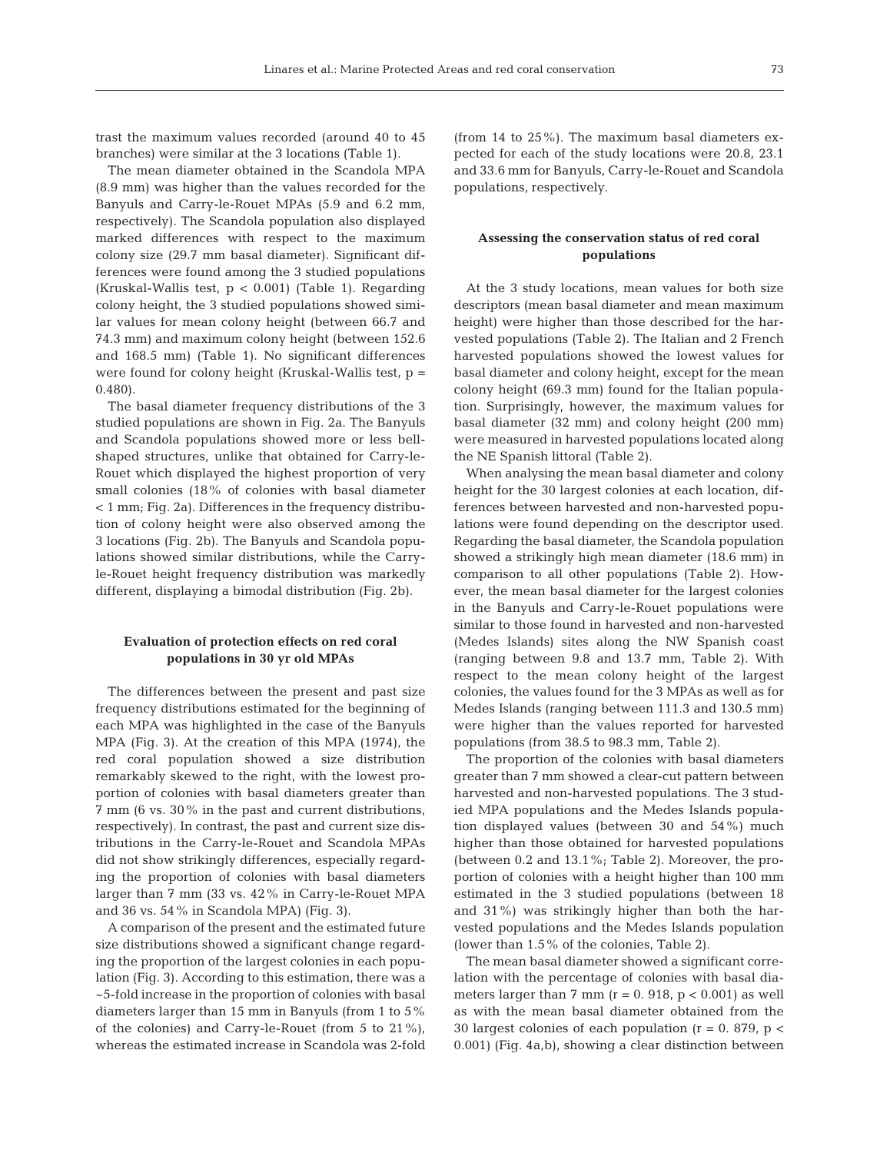trast the maximum values recorded (around 40 to 45 branches) were similar at the 3 locations (Table 1).

The mean diameter obtained in the Scandola MPA (8.9 mm) was higher than the values recorded for the Banyuls and Carry-le-Rouet MPAs (5.9 and 6.2 mm, respectively). The Scandola population also displayed marked differences with respect to the maximum colony size (29.7 mm basal diameter). Significant differences were found among the 3 studied populations (Kruskal-Wallis test, p < 0.001) (Table 1). Regarding colony height, the 3 studied populations showed similar values for mean colony height (between 66.7 and 74.3 mm) and maximum colony height (between 152.6 and 168.5 mm) (Table 1). No significant differences were found for colony height (Kruskal-Wallis test, p = 0.480).

The basal diameter frequency distributions of the 3 studied populations are shown in Fig. 2a. The Banyuls and Scandola populations showed more or less bellshaped structures, unlike that obtained for Carry-le-Rouet which displayed the highest proportion of very small colonies (18% of colonies with basal diameter < 1 mm; Fig. 2a). Differences in the frequency distribution of colony height were also observed among the 3 locations (Fig. 2b). The Banyuls and Scandola populations showed similar distributions, while the Carryle-Rouet height frequency distribution was markedly different, displaying a bimodal distribution (Fig. 2b).

# **Evaluation of protection effects on red coral populations in 30 yr old MPAs**

The differences between the present and past size frequency distributions estimated for the beginning of each MPA was highlighted in the case of the Banyuls MPA (Fig. 3). At the creation of this MPA (1974), the red coral population showed a size distribution remarkably skewed to the right, with the lowest proportion of colonies with basal diameters greater than 7 mm (6 vs. 30% in the past and current distributions, respectively). In contrast, the past and current size distributions in the Carry-le-Rouet and Scandola MPAs did not show strikingly differences, especially regarding the proportion of colonies with basal diameters larger than 7 mm (33 vs. 42% in Carry-le-Rouet MPA and 36 vs. 54% in Scandola MPA) (Fig. 3).

A comparison of the present and the estimated future size distributions showed a significant change regarding the proportion of the largest colonies in each population (Fig. 3). According to this estimation, there was a ~5-fold increase in the proportion of colonies with basal diameters larger than 15 mm in Banyuls (from 1 to 5% of the colonies) and Carry-le-Rouet (from 5 to 21%), whereas the estimated increase in Scandola was 2-fold (from 14 to 25%). The maximum basal diameters expected for each of the study locations were 20.8, 23.1 and 33.6 mm for Banyuls, Carry-le-Rouet and Scandola populations, respectively.

# **Assessing the conservation status of red coral populations**

At the 3 study locations, mean values for both size descriptors (mean basal diameter and mean maximum height) were higher than those described for the harvested populations (Table 2). The Italian and 2 French harvested populations showed the lowest values for basal diameter and colony height, except for the mean colony height (69.3 mm) found for the Italian population. Surprisingly, however, the maximum values for basal diameter (32 mm) and colony height (200 mm) were measured in harvested populations located along the NE Spanish littoral (Table 2).

When analysing the mean basal diameter and colony height for the 30 largest colonies at each location, differences between harvested and non-harvested populations were found depending on the descriptor used. Regarding the basal diameter, the Scandola population showed a strikingly high mean diameter (18.6 mm) in comparison to all other populations (Table 2). However, the mean basal diameter for the largest colonies in the Banyuls and Carry-le-Rouet populations were similar to those found in harvested and non-harvested (Medes Islands) sites along the NW Spanish coast (ranging between 9.8 and 13.7 mm, Table 2). With respect to the mean colony height of the largest colonies, the values found for the 3 MPAs as well as for Medes Islands (ranging between 111.3 and 130.5 mm) were higher than the values reported for harvested populations (from 38.5 to 98.3 mm, Table 2).

The proportion of the colonies with basal diameters greater than 7 mm showed a clear-cut pattern between harvested and non-harvested populations. The 3 studied MPA populations and the Medes Islands population displayed values (between 30 and 54%) much higher than those obtained for harvested populations (between 0.2 and 13.1%; Table 2). Moreover, the proportion of colonies with a height higher than 100 mm estimated in the 3 studied populations (between 18 and 31%) was strikingly higher than both the harvested populations and the Medes Islands population (lower than 1.5% of the colonies, Table 2).

The mean basal diameter showed a significant correlation with the percentage of colonies with basal diameters larger than  $7 \text{ mm}$  (r = 0. 918, p < 0.001) as well as with the mean basal diameter obtained from the 30 largest colonies of each population ( $r = 0$ . 879,  $p <$ 0.001) (Fig. 4a,b), showing a clear distinction between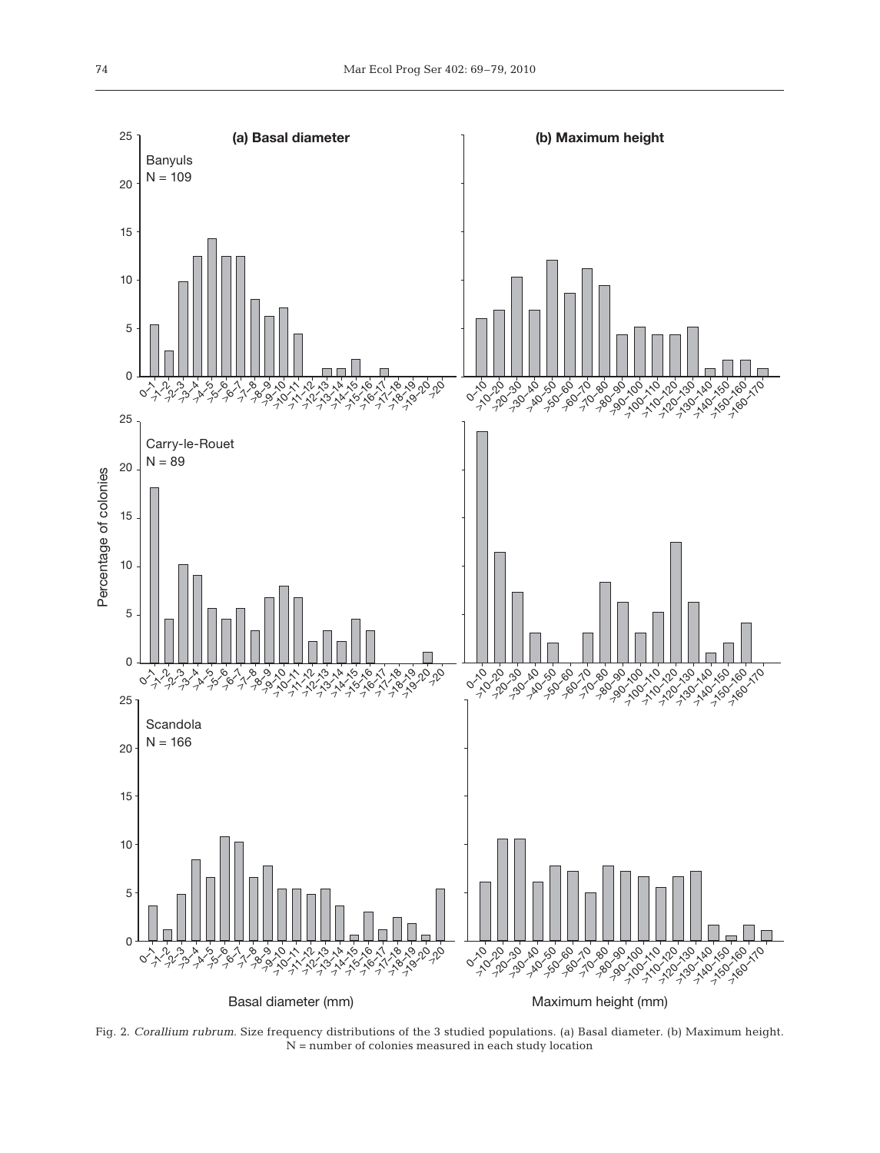

Fig. 2. *Corallium rubrum.* Size frequency distributions of the 3 studied populations. (a) Basal diameter. (b) Maximum height. N = number of colonies measured in each study location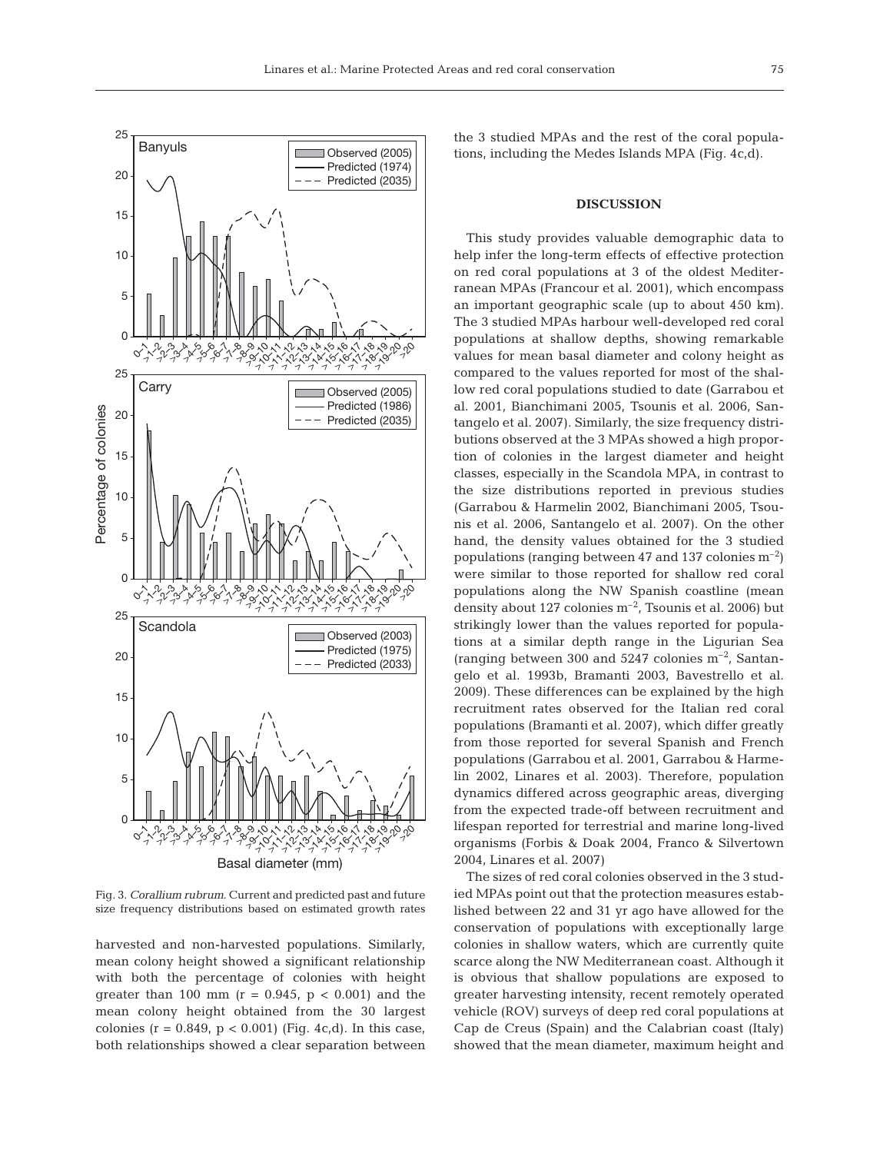

Fig. 3. *Corallium rubrum.* Current and predicted past and future size frequency distributions based on estimated growth rates

harvested and non-harvested populations. Similarly, mean colony height showed a significant relationship with both the percentage of colonies with height greater than 100 mm ( $r = 0.945$ ,  $p < 0.001$ ) and the mean colony height obtained from the 30 largest colonies ( $r = 0.849$ ,  $p < 0.001$ ) (Fig. 4c,d). In this case, both relationships showed a clear separation between the 3 studied MPAs and the rest of the coral populations, including the Medes Islands MPA (Fig. 4c,d).

## **DISCUSSION**

This study provides valuable demographic data to help infer the long-term effects of effective protection on red coral populations at 3 of the oldest Mediterranean MPAs (Francour et al. 2001), which encompass an important geographic scale (up to about 450 km). The 3 studied MPAs harbour well-developed red coral populations at shallow depths, showing remarkable values for mean basal diameter and colony height as compared to the values reported for most of the shallow red coral populations studied to date (Garrabou et al. 2001, Bianchimani 2005, Tsounis et al. 2006, Santangelo et al. 2007). Similarly, the size frequency distributions observed at the 3 MPAs showed a high proportion of colonies in the largest diameter and height classes, especially in the Scandola MPA, in contrast to the size distributions reported in previous studies (Garrabou & Harmelin 2002, Bianchimani 2005, Tsounis et al. 2006, Santangelo et al. 2007). On the other hand, the density values obtained for the 3 studied populations (ranging between 47 and 137 colonies  $m^{-2}$ ) were similar to those reported for shallow red coral populations along the NW Spanish coastline (mean density about 127 colonies  $m^{-2}$ , Tsounis et al. 2006) but strikingly lower than the values reported for populations at a similar depth range in the Ligurian Sea (ranging between 300 and 5247 colonies  $m^{-2}$ , Santangelo et al. 1993b, Bramanti 2003, Bavestrello et al. 2009). These differences can be explained by the high recruitment rates observed for the Italian red coral populations (Bramanti et al. 2007), which differ greatly from those reported for several Spanish and French populations (Garrabou et al. 2001, Garrabou & Harmelin 2002, Linares et al. 2003). Therefore, population dynamics differed across geographic areas, diverging from the expected trade-off between recruitment and lifespan reported for terrestrial and marine long-lived organisms (Forbis & Doak 2004, Franco & Silvertown 2004, Linares et al. 2007)

The sizes of red coral colonies observed in the 3 studied MPAs point out that the protection measures established between 22 and 31 yr ago have allowed for the conservation of populations with exceptionally large colonies in shallow waters, which are currently quite scarce along the NW Mediterranean coast. Although it is obvious that shallow populations are exposed to greater harvesting intensity, recent remotely operated vehicle (ROV) surveys of deep red coral populations at Cap de Creus (Spain) and the Calabrian coast (Italy) showed that the mean diameter, maximum height and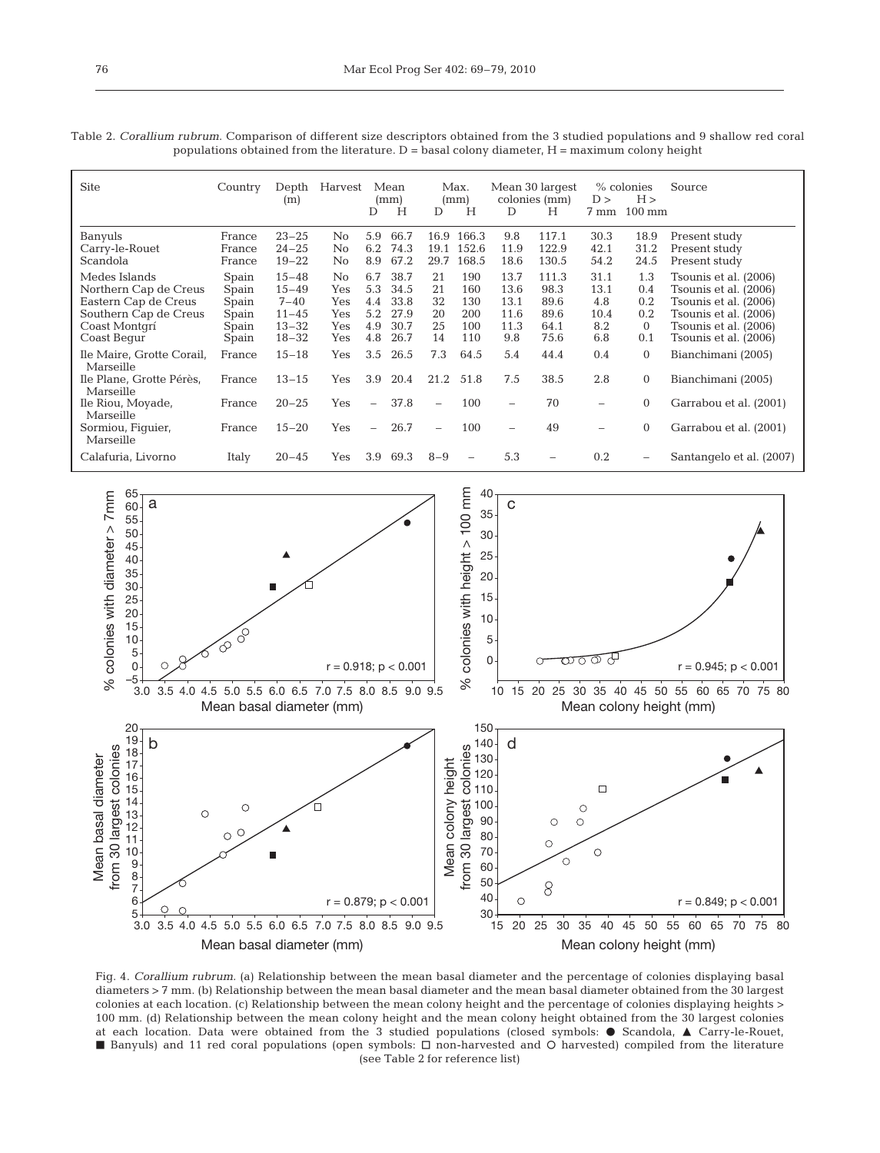|      | Table 2. <i>Corallium rubrum</i> . Comparison of different size descriptors obtained from the 3 studied populations and 9 shallow red coral<br>populations obtained from the literature. $D =$ basal colony diameter, $H =$ maximum colony height |  |                            |  |      |                                   |  |  |  |  |  |
|------|---------------------------------------------------------------------------------------------------------------------------------------------------------------------------------------------------------------------------------------------------|--|----------------------------|--|------|-----------------------------------|--|--|--|--|--|
| Site |                                                                                                                                                                                                                                                   |  | Country Depth Harvest Mean |  | Max. | Mean 30 largest % colonies Source |  |  |  |  |  |

| Site                                                                                                                    | Country                                            | Depth<br>(m)                                                              | Harvest                                | D                                      | Mean<br>(mm)<br>Н                            | D                                | Max.<br>(mm)<br>Н                      | D                                                    | Mean 30 largest<br>colonies (mm)<br>Н         | D ><br>7 mm                               | % colonies<br>H ><br>$100 \text{ mm}$             | Source                                                                                                                                             |
|-------------------------------------------------------------------------------------------------------------------------|----------------------------------------------------|---------------------------------------------------------------------------|----------------------------------------|----------------------------------------|----------------------------------------------|----------------------------------|----------------------------------------|------------------------------------------------------|-----------------------------------------------|-------------------------------------------|---------------------------------------------------|----------------------------------------------------------------------------------------------------------------------------------------------------|
| Banyuls<br>Carry-le-Rouet<br>Scandola                                                                                   | France<br>France<br>France                         | $23 - 25$<br>$24 - 25$<br>$19 - 22$                                       | No<br>No.<br>No.                       | 5.9<br>6.2<br>8.9                      | 66.7<br>74.3<br>67.2                         | 16.9<br>19.1<br>29.7             | 166.3<br>152.6<br>168.5                | 9.8<br>11.9<br>18.6                                  | 117.1<br>122.9<br>130.5                       | 30.3<br>42.1<br>54.2                      | 18.9<br>31.2<br>24.5                              | Present study<br>Present study<br>Present study                                                                                                    |
| Medes Islands<br>Northern Cap de Creus<br>Eastern Cap de Creus<br>Southern Cap de Creus<br>Coast Montgrí<br>Coast Begur | Spain<br>Spain<br>Spain<br>Spain<br>Spain<br>Spain | $15 - 48$<br>$15 - 49$<br>$7 - 40$<br>$11 - 45$<br>$13 - 32$<br>$18 - 32$ | No.<br>Yes<br>Yes<br>Yes<br>Yes<br>Yes | 6.7<br>5.3<br>4.4<br>5.2<br>4.9<br>4.8 | 38.7<br>34.5<br>33.8<br>27.9<br>30.7<br>26.7 | 21<br>21<br>32<br>20<br>25<br>14 | 190<br>160<br>130<br>200<br>100<br>110 | 13.7<br>13.6<br>13.1<br>11.6<br>11.3<br>9.8          | 111.3<br>98.3<br>89.6<br>89.6<br>64.1<br>75.6 | 31.1<br>13.1<br>4.8<br>10.4<br>8.2<br>6.8 | 1.3<br>0.4<br>0.2<br>0.2<br>$\overline{0}$<br>0.1 | Tsounis et al. (2006)<br>Tsounis et al. (2006)<br>Tsounis et al. (2006)<br>Tsounis et al. (2006)<br>Tsounis et al. (2006)<br>Tsounis et al. (2006) |
| Ile Maire, Grotte Corail,<br>Marseille<br>Ile Plane, Grotte Pérès,                                                      | France<br>France                                   | $15 - 18$<br>$13 - 15$                                                    | Yes<br>Yes                             | $3.5^{\circ}$<br>3.9                   | 26.5<br>20.4                                 | 7.3<br>21.2                      | 64.5<br>51.8                           | 5.4<br>7.5                                           | 44.4<br>38.5                                  | 0.4<br>2.8                                | $\Omega$<br>$\Omega$                              | Bianchimani (2005)<br>Bianchimani (2005)                                                                                                           |
| Marseille<br>Ile Riou, Moyade,<br>Marseille<br>Sormiou, Figuier,                                                        | France<br>France                                   | $20 - 25$<br>$15 - 20$                                                    | Yes<br>Yes                             | $\overline{\phantom{0}}$<br>$\equiv$   | 37.8<br>26.7                                 | $\overline{\phantom{0}}$         | 100<br>100                             | $\overline{\phantom{0}}$<br>$\overline{\phantom{0}}$ | 70<br>49                                      | -                                         | $\overline{0}$<br>$\overline{0}$                  | Garrabou et al. (2001)<br>Garrabou et al. (2001)                                                                                                   |
| Marseille<br>Calafuria, Livorno                                                                                         | Italy                                              | $20 - 45$                                                                 | Yes                                    | 3.9                                    | 69.3                                         | $8 - 9$                          | $\overline{\phantom{0}}$               | 5.3                                                  |                                               | 0.2                                       | $-$                                               | Santangelo et al. (2007)                                                                                                                           |



Fig. 4. *Corallium rubrum.* (a) Relationship between the mean basal diameter and the percentage of colonies displaying basal diameters > 7 mm. (b) Relationship between the mean basal diameter and the mean basal diameter obtained from the 30 largest colonies at each location. (c) Relationship between the mean colony height and the percentage of colonies displaying heights > 100 mm. (d) Relationship between the mean colony height and the mean colony height obtained from the 30 largest colonies at each location. Data were obtained from the 3 studied populations (closed symbols:  $\bullet$  Scandola,  $\blacktriangle$  Carry-le-Rouet, Banyuls) and 11 red coral populations (open symbols:  $\Box$  non-harvested and  $\Diamond$  harvested) compiled from the literature (see Table 2 for reference list)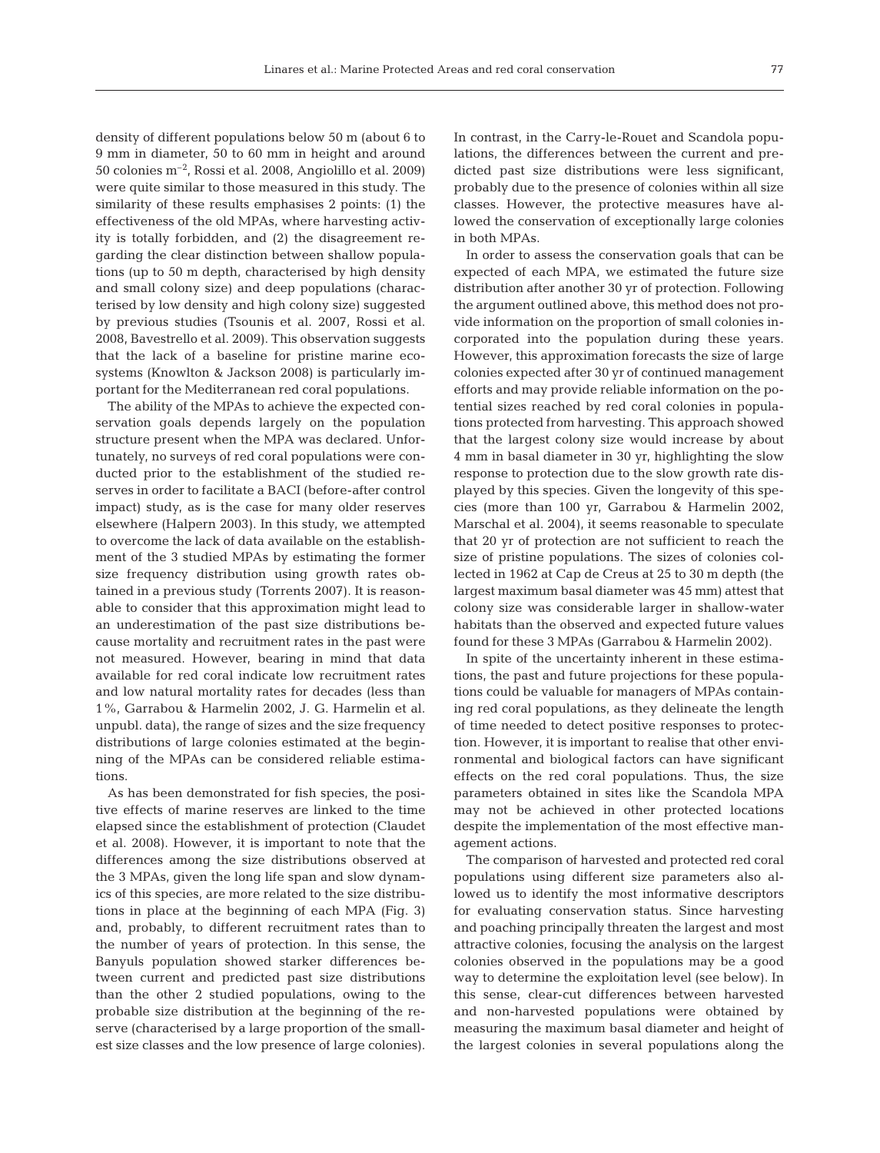density of different populations below 50 m (about 6 to 9 mm in diameter, 50 to 60 mm in height and around 50 colonies m–2, Rossi et al. 2008, Angiolillo et al. 2009) were quite similar to those measured in this study. The similarity of these results emphasises 2 points: (1) the effectiveness of the old MPAs, where harvesting activity is totally forbidden, and (2) the disagreement regarding the clear distinction between shallow populations (up to 50 m depth, characterised by high density and small colony size) and deep populations (characterised by low density and high colony size) suggested by previous studies (Tsounis et al. 2007, Rossi et al. 2008, Bavestrello et al. 2009). This observation suggests that the lack of a baseline for pristine marine ecosystems (Knowlton & Jackson 2008) is particularly important for the Mediterranean red coral populations.

The ability of the MPAs to achieve the expected conservation goals depends largely on the population structure present when the MPA was declared. Unfortunately, no surveys of red coral populations were conducted prior to the establishment of the studied reserves in order to facilitate a BACI (before-after control impact) study, as is the case for many older reserves elsewhere (Halpern 2003). In this study, we attempted to overcome the lack of data available on the establishment of the 3 studied MPAs by estimating the former size frequency distribution using growth rates obtained in a previous study (Torrents 2007). It is reasonable to consider that this approximation might lead to an underestimation of the past size distributions because mortality and recruitment rates in the past were not measured. However, bearing in mind that data available for red coral indicate low recruitment rates and low natural mortality rates for decades (less than 1%, Garrabou & Harmelin 2002, J. G. Harmelin et al. unpubl. data), the range of sizes and the size frequency distributions of large colonies estimated at the beginning of the MPAs can be considered reliable estimations.

As has been demonstrated for fish species, the positive effects of marine reserves are linked to the time elapsed since the establishment of protection (Claudet et al. 2008). However, it is important to note that the differences among the size distributions observed at the 3 MPAs, given the long life span and slow dynamics of this species, are more related to the size distributions in place at the beginning of each MPA (Fig. 3) and, probably, to different recruitment rates than to the number of years of protection. In this sense, the Banyuls population showed starker differences between current and predicted past size distributions than the other 2 studied populations, owing to the probable size distribution at the beginning of the reserve (characterised by a large proportion of the smallest size classes and the low presence of large colonies). In contrast, in the Carry-le-Rouet and Scandola populations, the differences between the current and predicted past size distributions were less significant, probably due to the presence of colonies within all size classes. However, the protective measures have allowed the conservation of exceptionally large colonies in both MPAs.

In order to assess the conservation goals that can be expected of each MPA, we estimated the future size distribution after another 30 yr of protection. Following the argument outlined above, this method does not provide information on the proportion of small colonies incorporated into the population during these years. However, this approximation forecasts the size of large colonies expected after 30 yr of continued management efforts and may provide reliable information on the potential sizes reached by red coral colonies in populations protected from harvesting. This approach showed that the largest colony size would increase by about 4 mm in basal diameter in 30 yr, highlighting the slow response to protection due to the slow growth rate displayed by this species. Given the longevity of this species (more than 100 yr, Garrabou & Harmelin 2002, Marschal et al. 2004), it seems reasonable to speculate that 20 yr of protection are not sufficient to reach the size of pristine populations. The sizes of colonies collected in 1962 at Cap de Creus at 25 to 30 m depth (the largest maximum basal diameter was 45 mm) attest that colony size was considerable larger in shallow-water habitats than the observed and expected future values found for these 3 MPAs (Garrabou & Harmelin 2002).

In spite of the uncertainty inherent in these estimations, the past and future projections for these populations could be valuable for managers of MPAs containing red coral populations, as they delineate the length of time needed to detect positive responses to protection. However, it is important to realise that other environmental and biological factors can have significant effects on the red coral populations. Thus, the size parameters obtained in sites like the Scandola MPA may not be achieved in other protected locations despite the implementation of the most effective management actions.

The comparison of harvested and protected red coral populations using different size parameters also allowed us to identify the most informative descriptors for evaluating conservation status. Since harvesting and poaching principally threaten the largest and most attractive colonies, focusing the analysis on the largest colonies observed in the populations may be a good way to determine the exploitation level (see below). In this sense, clear-cut differences between harvested and non-harvested populations were obtained by measuring the maximum basal diameter and height of the largest colonies in several populations along the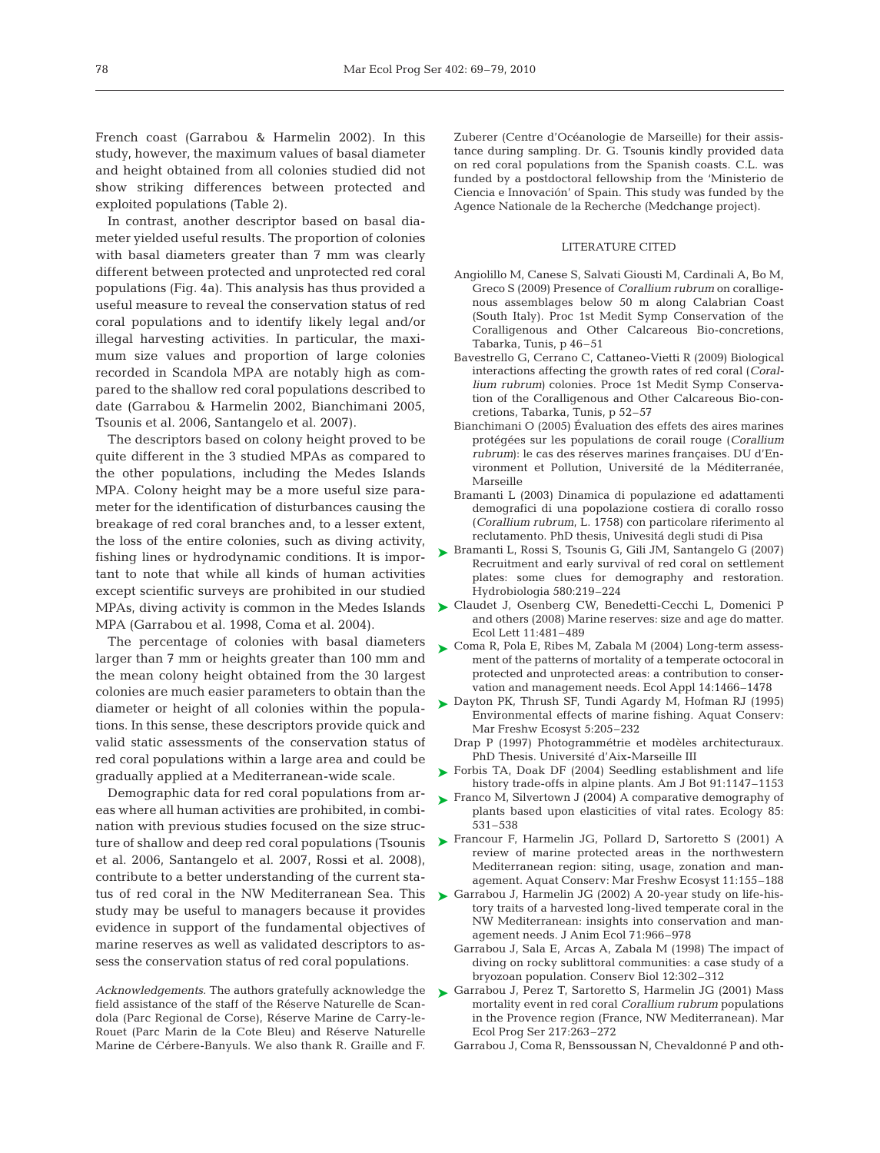French coast (Garrabou & Harmelin 2002). In this study, however, the maximum values of basal diameter and height obtained from all colonies studied did not show striking differences between protected and exploited populations (Table 2).

In contrast, another descriptor based on basal diameter yielded useful results. The proportion of colonies with basal diameters greater than 7 mm was clearly different between protected and unprotected red coral populations (Fig. 4a). This analysis has thus provided a useful measure to reveal the conservation status of red coral populations and to identify likely legal and/or illegal harvesting activities. In particular, the maximum size values and proportion of large colonies recorded in Scandola MPA are notably high as compared to the shallow red coral populations described to date (Garrabou & Harmelin 2002, Bianchimani 2005, Tsounis et al. 2006, Santangelo et al. 2007).

The descriptors based on colony height proved to be quite different in the 3 studied MPAs as compared to the other populations, including the Medes Islands MPA. Colony height may be a more useful size parameter for the identification of disturbances causing the breakage of red coral branches and, to a lesser extent, the loss of the entire colonies, such as diving activity, fishing lines or hydrodynamic conditions. It is important to note that while all kinds of human activities except scientific surveys are prohibited in our studied MPA (Garrabou et al. 1998, Coma et al. 2004).

The percentage of colonies with basal diameters larger than 7 mm or heights greater than 100 mm and the mean colony height obtained from the 30 largest colonies are much easier parameters to obtain than the diameter or height of all colonies within the populations. In this sense, these descriptors provide quick and valid static assessments of the conservation status of red coral populations within a large area and could be gradually applied at a Mediterranean-wide scale.

Demographic data for red coral populations from areas where all human activities are prohibited, in combination with previous studies focused on the size strucet al. 2006, Santangelo et al. 2007, Rossi et al. 2008), contribute to a better understanding of the current status of red coral in the NW Mediterranean Sea. This  $\triangleright$  Garrabou J, Harmelin JG (2002) A 20-year study on life-hisstudy may be useful to managers because it provides evidence in support of the fundamental objectives of marine reserves as well as validated descriptors to assess the conservation status of red coral populations.

*Acknowledgements.* The authors gratefully acknowledge the field assistance of the staff of the Réserve Naturelle de Scandola (Parc Regional de Corse), Réserve Marine de Carry-le-Rouet (Parc Marin de la Cote Bleu) and Réserve Naturelle Marine de Cérbere-Banyuls. We also thank R. Graille and F.

Zuberer (Centre d'Océanologie de Marseille) for their assistance during sampling. Dr. G. Tsounis kindly provided data on red coral populations from the Spanish coasts. C.L. was funded by a postdoctoral fellowship from the 'Ministerio de Ciencia e Innovación' of Spain. This study was funded by the Agence Nationale de la Recherche (Medchange project).

#### LITERATURE CITED

- Angiolillo M, Canese S, Salvati Giousti M, Cardinali A, Bo M, Greco S (2009) Presence of *Corallium rubrum* on coralligenous assemblages below 50 m along Calabrian Coast (South Italy). Proc 1st Medit Symp Conservation of the Coralligenous and Other Calcareous Bio-concretions, Tabarka, Tunis, p 46–51
- Bavestrello G, Cerrano C, Cattaneo-Vietti R (2009) Biological interactions affecting the growth rates of red coral (*Corallium rubrum)* colonies. Proce 1st Medit Symp Conservation of the Coralligenous and Other Calcareous Bio-concretions, Tabarka, Tunis, p 52–57
- Bianchimani O (2005) Évaluation des effets des aires marines protégées sur les populations de corail rouge (*Corallium rubrum)*: le cas des réserves marines françaises. DU d'Environment et Pollution, Université de la Méditerranée, Marseille
- Bramanti L (2003) Dinamica di populazione ed adattamenti demografici di una popolazione costiera di corallo rosso (*Corallium rubrum*, L. 1758) con particolare riferimento al reclutamento. PhD thesis, Univesitá degli studi di Pisa
- Bramanti L, Rossi S, Tsounis G, Gili JM, Santangelo G (2007) ➤ Recruitment and early survival of red coral on settlement plates: some clues for demography and restoration. Hydrobiologia 580:219–224
- MPAs, diving activity is common in the Medes Islands  $\quadblacktriangleright$  Claudet J, Osenberg CW, Benedetti-Cecchi L, Domenici P and others (2008) Marine reserves: size and age do matter. Ecol Lett 11:481–489
	- ► Coma R, Pola E, Ribes M, Zabala M (2004) Long-term assessment of the patterns of mortality of a temperate octocoral in protected and unprotected areas: a contribution to conservation and management needs. Ecol Appl 14:1466–1478
	- ► Dayton PK, Thrush SF, Tundi Agardy M, Hofman RJ (1995) Environmental effects of marine fishing. Aquat Conserv: Mar Freshw Ecosyst 5:205–232
		- Drap P (1997) Photogrammétrie et modèles architecturaux. PhD Thesis. Université d'Aix-Marseille III
	- ► Forbis TA, Doak DF (2004) Seedling establishment and life history trade-offs in alpine plants. Am J Bot 91:1147–1153
	- ► Franco M, Silvertown J (2004) A comparative demography of plants based upon elasticities of vital rates. Ecology 85: 531–538
- ture of shallow and deep red coral populations (Tsounis Francour F, Harmelin JG, Pollard D, Sartoretto S (2001) A ➤ review of marine protected areas in the northwestern Mediterranean region: siting, usage, zonation and management. Aquat Conserv: Mar Freshw Ecosyst 11:155–188
	- tory traits of a harvested long-lived temperate coral in the NW Mediterranean: insights into conservation and management needs. J Anim Ecol 71:966–978
	- Garrabou J, Sala E, Arcas A, Zabala M (1998) The impact of diving on rocky sublittoral communities: a case study of a bryozoan population. Conserv Biol 12:302–312
	- ► Garrabou J, Perez T, Sartoretto S, Harmelin JG (2001) Mass mortality event in red coral *Corallium rubrum* populations in the Provence region (France, NW Mediterranean). Mar Ecol Prog Ser 217:263–272
		- Garrabou J, Coma R, Benssoussan N, Chevaldonné P and oth-